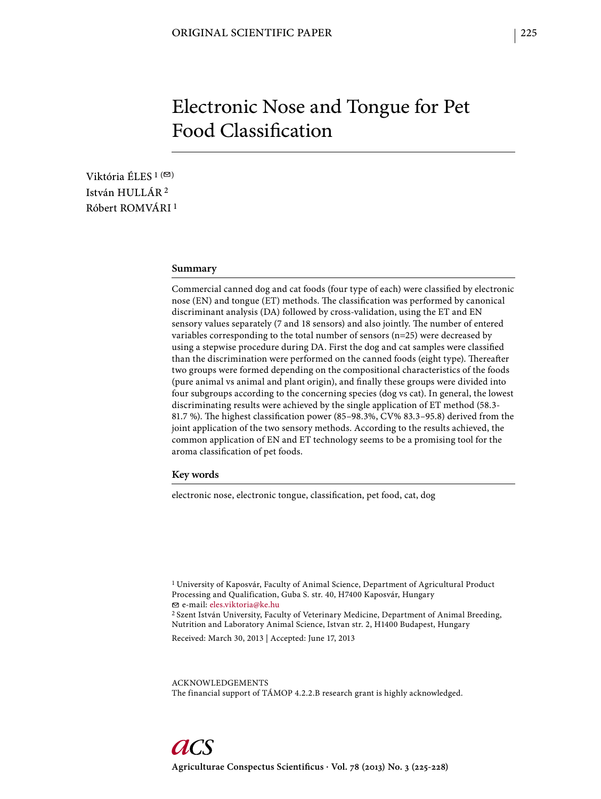# Electronic Nose and Tongue for Pet Food Classification

Viktória ÉLES<sup>1( $\textdegree$ )</sup> István HULLÁR 2 Róbert ROMVÁRI 1

## **Summary**

Commercial canned dog and cat foods (four type of each) were classified by electronic nose (EN) and tongue (ET) methods. The classification was performed by canonical discriminant analysis (DA) followed by cross-validation, using the ET and EN sensory values separately (7 and 18 sensors) and also jointly. The number of entered variables corresponding to the total number of sensors (n=25) were decreased by using a stepwise procedure during DA. First the dog and cat samples were classified than the discrimination were performed on the canned foods (eight type). Thereafter two groups were formed depending on the compositional characteristics of the foods (pure animal vs animal and plant origin), and finally these groups were divided into four subgroups according to the concerning species (dog vs cat). In general, the lowest discriminating results were achieved by the single application of ET method (58.3- 81.7 %). The highest classification power (85-98.3%, CV% 83.3-95.8) derived from the joint application of the two sensory methods. According to the results achieved, the common application of EN and ET technology seems to be a promising tool for the aroma classification of pet foods.

### **Key words**

electronic nose, electronic tongue, classification, pet food, cat, dog

1 University of Kaposvár, Faculty of Animal Science, Department of Agricultural Product Processing and Qualification, Guba S. str. 40, H7400 Kaposvár, Hungary e-mail: eles.viktoria@ke.hu

2 Szent István University, Faculty of Veterinary Medicine, Department of Animal Breeding, Nutrition and Laboratory Animal Science, Istvan str. 2, H1400 Budapest, Hungary

Received: March 30, 2013 | Accepted: June 17, 2013

ACKNOWLEDGEMENTS The financial support of TÁMOP 4.2.2.B research grant is highly acknowledged.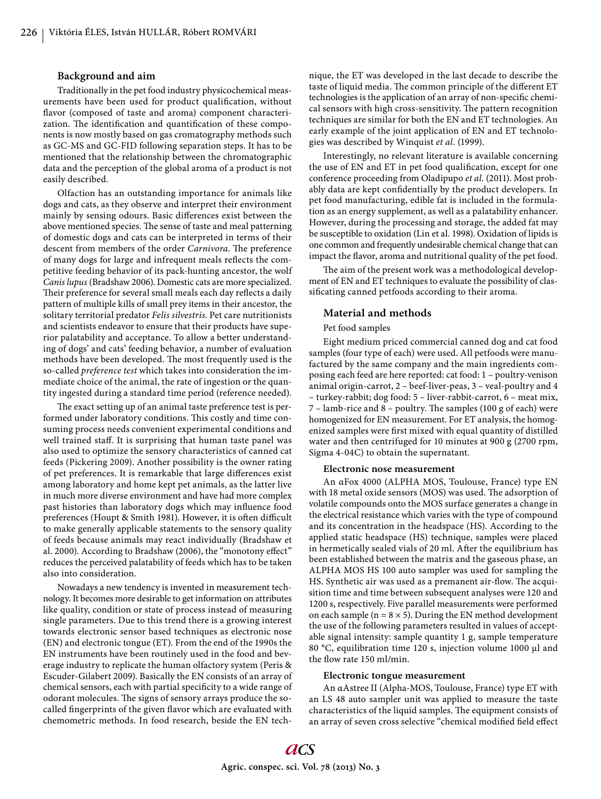#### **Background and aim**

Traditionally in the pet food industry physicochemical measurements have been used for product qualification, without flavor (composed of taste and aroma) component characterization. The identification and quantification of these components is now mostly based on gas cromatography methods such as GC-MS and GC-FID following separation steps. It has to be mentioned that the relationship between the chromatographic data and the perception of the global aroma of a product is not easily described.

Olfaction has an outstanding importance for animals like dogs and cats, as they observe and interpret their environment mainly by sensing odours. Basic differences exist between the above mentioned species. The sense of taste and meal patterning of domestic dogs and cats can be interpreted in terms of their descent from members of the order *Carnivora*. The preference of many dogs for large and infrequent meals reflects the competitive feeding behavior of its pack-hunting ancestor, the wolf *Canis lupus* (Bradshaw 2006). Domestic cats are more specialized. Their preference for several small meals each day reflects a daily pattern of multiple kills of small prey items in their ancestor, the solitary territorial predator *Felis silvestris*. Pet care nutritionists and scientists endeavor to ensure that their products have superior palatability and acceptance. To allow a better understanding of dogs' and cats' feeding behavior, a number of evaluation methods have been developed. The most frequently used is the so-called *preference test* which takes into consideration the immediate choice of the animal, the rate of ingestion or the quantity ingested during a standard time period (reference needed).

The exact setting up of an animal taste preference test is performed under laboratory conditions. This costly and time consuming process needs convenient experimental conditions and well trained staff. It is surprising that human taste panel was also used to optimize the sensory characteristics of canned cat feeds (Pickering 2009). Another possibility is the owner rating of pet preferences. It is remarkable that large differences exist among laboratory and home kept pet animals, as the latter live in much more diverse environment and have had more complex past histories than laboratory dogs which may influence food preferences (Houpt & Smith 1981). However, it is often difficult to make generally applicable statements to the sensory quality of feeds because animals may react individually (Bradshaw et al. 2000). According to Bradshaw (2006), the "monotony effect" reduces the perceived palatability of feeds which has to be taken also into consideration.

Nowadays a new tendency is invented in measurement technology. It becomes more desirable to get information on attributes like quality, condition or state of process instead of measuring single parameters. Due to this trend there is a growing interest towards electronic sensor based techniques as electronic nose (EN) and electronic tongue (ET). From the end of the 1990s the EN instruments have been routinely used in the food and beverage industry to replicate the human olfactory system (Peris & Escuder-Gilabert 2009). Basically the EN consists of an array of chemical sensors, each with partial specificity to a wide range of odorant molecules. The signs of sensory arrays produce the socalled fingerprints of the given flavor which are evaluated with chemometric methods. In food research, beside the EN technique, the ET was developed in the last decade to describe the taste of liquid media. The common principle of the different ET technologies is the application of an array of non-specific chemical sensors with high cross-sensitivity. The pattern recognition techniques are similar for both the EN and ET technologies. An early example of the joint application of EN and ET technologies was described by Winquist *et al.* (1999).

Interestingly, no relevant literature is available concerning the use of EN and ET in pet food qualification, except for one conference proceeding from Oladipupo *et al.* (2011). Most probably data are kept confidentially by the product developers. In pet food manufacturing, edible fat is included in the formulation as an energy supplement, as well as a palatability enhancer. However, during the processing and storage, the added fat may be susceptible to oxidation (Lin et al. 1998). Oxidation of lipids is one common and frequently undesirable chemical change that can impact the flavor, aroma and nutritional quality of the pet food.

The aim of the present work was a methodological development of EN and ET techniques to evaluate the possibility of classificating canned petfoods according to their aroma.

#### **Material and methods**

### Pet food samples

Eight medium priced commercial canned dog and cat food samples (four type of each) were used. All petfoods were manufactured by the same company and the main ingredients composing each feed are here reported: cat food: 1 – poultry-venison animal origin-carrot, 2 – beef-liver-peas, 3 – veal-poultry and 4 – turkey-rabbit; dog food: 5 – liver-rabbit-carrot, 6 – meat mix,  $7$  – lamb-rice and 8 – poultry. The samples (100 g of each) were homogenized for EN measurement. For ET analysis, the homogenized samples were first mixed with equal quantity of distilled water and then centrifuged for 10 minutes at 900 g (2700 rpm, Sigma 4-04C) to obtain the supernatant.

#### **Electronic nose measurement**

An αFox 4000 (ALPHA MOS, Toulouse, France) type EN with 18 metal oxide sensors (MOS) was used. The adsorption of volatile compounds onto the MOS surface generates a change in the electrical resistance which varies with the type of compound and its concentration in the headspace (HS). According to the applied static headspace (HS) technique, samples were placed in hermetically sealed vials of 20 ml. After the equilibrium has been established between the matrix and the gaseous phase, an ALPHA MOS HS 100 auto sampler was used for sampling the HS. Synthetic air was used as a premanent air-flow. The acquisition time and time between subsequent analyses were 120 and 1200 s, respectively. Five parallel measurements were performed on each sample ( $n = 8 \times 5$ ). During the EN method development the use of the following parameters resulted in values of acceptable signal intensity: sample quantity 1 g, sample temperature 80 °C, equilibration time 120 s, injection volume 1000 μl and the flow rate 150 ml/min.

#### **Electronic tongue measurement**

An αAstree II (Alpha-MOS, Toulouse, France) type ET with an LS 48 auto sampler unit was applied to measure the taste characteristics of the liquid samples. The equipment consists of an array of seven cross selective "chemical modified field effect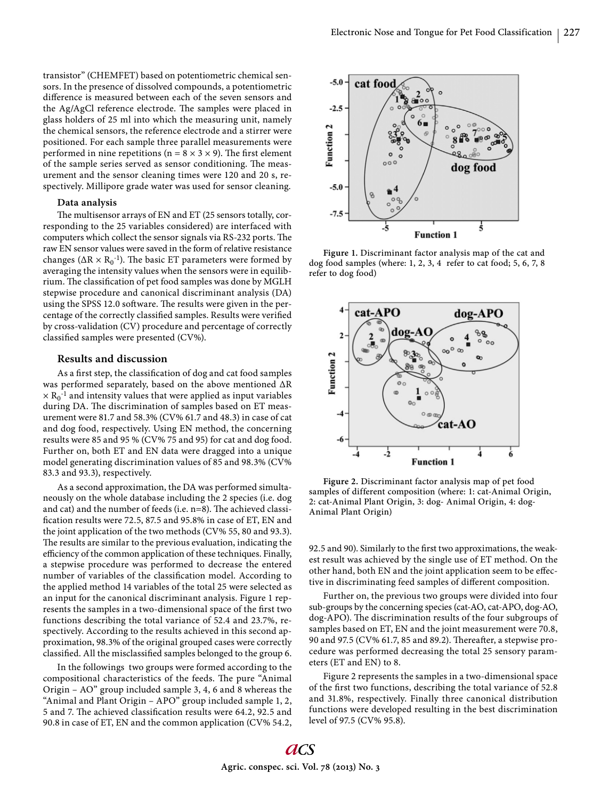transistor" (CHEMFET) based on potentiometric chemical sensors. In the presence of dissolved compounds, a potentiometric difference is measured between each of the seven sensors and the Ag/AgCl reference electrode. The samples were placed in glass holders of 25 ml into which the measuring unit, namely the chemical sensors, the reference electrode and a stirrer were positioned. For each sample three parallel measurements were performed in nine repetitions (n =  $8 \times 3 \times 9$ ). The first element of the sample series served as sensor conditioning. The measurement and the sensor cleaning times were 120 and 20 s, respectively. Millipore grade water was used for sensor cleaning.

#### **Data analysis**

The multisensor arrays of EN and ET (25 sensors totally, corresponding to the 25 variables considered) are interfaced with computers which collect the sensor signals via RS-232 ports. The raw EN sensor values were saved in the form of relative resistance changes ( $\Delta R \times R_0^{-1}$ ). The basic ET parameters were formed by averaging the intensity values when the sensors were in equilibrium. The classification of pet food samples was done by MGLH stepwise procedure and canonical discriminant analysis (DA) using the SPSS 12.0 software. The results were given in the percentage of the correctly classified samples. Results were verified by cross-validation (CV) procedure and percentage of correctly classified samples were presented (CV%).

#### **Results and discussion**

As a first step, the classification of dog and cat food samples was performed separately, based on the above mentioned ΔR  $\times$   $\rm R_0^{-1}$  and intensity values that were applied as input variables during DA. The discrimination of samples based on ET measurement were 81.7 and 58.3% (CV% 61.7 and 48.3) in case of cat and dog food, respectively. Using EN method, the concerning results were 85 and 95 % (CV% 75 and 95) for cat and dog food. Further on, both ET and EN data were dragged into a unique model generating discrimination values of 85 and 98.3% (CV% 83.3 and 93.3), respectively.

As a second approximation, the DA was performed simultaneously on the whole database including the 2 species (i.e. dog and cat) and the number of feeds (i.e.  $n=8$ ). The achieved classification results were 72.5, 87.5 and 95.8% in case of ET, EN and the joint application of the two methods (CV% 55, 80 and 93.3). The results are similar to the previous evaluation, indicating the efficiency of the common application of these techniques. Finally, a stepwise procedure was performed to decrease the entered number of variables of the classification model. According to the applied method 14 variables of the total 25 were selected as an input for the canonical discriminant analysis. Figure 1 represents the samples in a two-dimensional space of the first two functions describing the total variance of 52.4 and 23.7%, respectively. According to the results achieved in this second approximation, 98.3% of the original grouped cases were correctly classified. All the misclassified samples belonged to the group 6.

In the followings two groups were formed according to the compositional characteristics of the feeds. The pure "Animal" Origin – AO" group included sample 3, 4, 6 and 8 whereas the "Animal and Plant Origin – APO" group included sample 1, 2, 5 and 7. The achieved classification results were 64.2, 92.5 and 90.8 in case of ET, EN and the common application (CV% 54.2,



**Figure 1.** Discriminant factor analysis map of the cat and dog food samples (where: 1, 2, 3, 4 refer to cat food; 5, 6, 7, 8 refer to dog food)



**Figure 2.** Discriminant factor analysis map of pet food samples of different composition (where: 1: cat-Animal Origin, 2: cat-Animal Plant Origin, 3: dog- Animal Origin, 4: dog-Animal Plant Origin)

92.5 and 90). Similarly to the first two approximations, the weakest result was achieved by the single use of ET method. On the other hand, both EN and the joint application seem to be effective in discriminating feed samples of different composition.

Further on, the previous two groups were divided into four sub-groups by the concerning species (cat-AO, cat-APO, dog-AO, dog-APO). The discrimination results of the four subgroups of samples based on ET, EN and the joint measurement were 70.8, 90 and 97.5 (CV% 61.7, 85 and 89.2). Thereafter, a stepwise procedure was performed decreasing the total 25 sensory parameters (ET and EN) to 8.

Figure 2 represents the samples in a two-dimensional space of the first two functions, describing the total variance of 52.8 and 31.8%, respectively. Finally three canonical distribution functions were developed resulting in the best discrimination level of 97.5 (CV% 95.8).